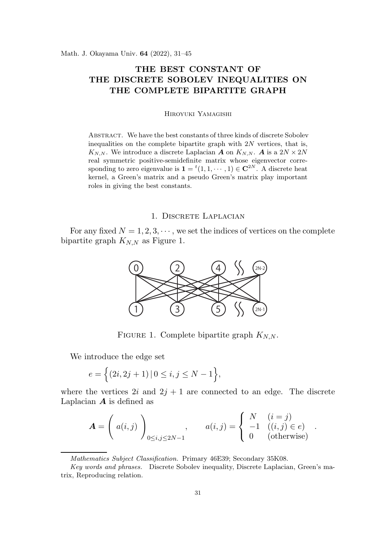# THE BEST CONSTANT OF THE DISCRETE SOBOLEV INEQUALITIES ON THE COMPLETE BIPARTITE GRAPH

Hiroyuki Yamagishi

Abstract. We have the best constants of three kinds of discrete Sobolev inequalities on the complete bipartite graph with  $2N$  vertices, that is,  $K_{N,N}$ . We introduce a discrete Laplacian **A** on  $K_{N,N}$ . **A** is a  $2N \times 2N$ real symmetric positive-semidefinite matrix whose eigenvector corresponding to zero eigenvalue is  $\mathbf{1} = {}^{t}(1, 1, \cdots, 1) \in \mathbb{C}^{2N}$ . A discrete heat kernel, a Green's matrix and a pseudo Green's matrix play important roles in giving the best constants.

# 1. DISCRETE LAPLACIAN

For any fixed  $N = 1, 2, 3, \cdots$ , we set the indices of vertices on the complete bipartite graph  $K_{N,N}$  as Figure 1.



FIGURE 1. Complete bipartite graph  $K_{N,N}$ .

We introduce the edge set

$$
e = \{(2i, 2j + 1) | 0 \le i, j \le N - 1\},\
$$

where the vertices  $2i$  and  $2j + 1$  are connected to an edge. The discrete Laplacian  $\boldsymbol{A}$  is defined as

$$
\mathbf{A} = \left( a(i,j) \right)_{0 \le i,j \le 2N-1}, \qquad a(i,j) = \left\{ \begin{array}{ll} N & (i=j) \\ -1 & ((i,j) \in e) \\ 0 & (\text{otherwise}) \end{array} \right.
$$

.

Mathematics Subject Classification. Primary 46E39; Secondary 35K08.

Key words and phrases. Discrete Sobolev inequality, Discrete Laplacian, Green's matrix, Reproducing relation.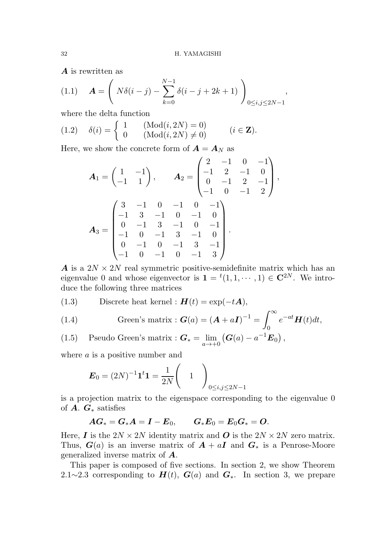A is rewritten as

(1.1) 
$$
\mathbf{A} = \left( N\delta(i-j) - \sum_{k=0}^{N-1} \delta(i-j+2k+1) \right)_{0 \le i,j \le 2N-1},
$$

where the delta function

$$
(1.2) \quad \delta(i) = \begin{cases} 1 & (\text{Mod}(i, 2N) = 0) \\ 0 & (\text{Mod}(i, 2N) \neq 0) \end{cases} \quad (i \in \mathbf{Z}).
$$

Here, we show the concrete form of  $\boldsymbol{A} = \boldsymbol{A}_N$  as

$$
A_1 = \begin{pmatrix} 1 & -1 \\ -1 & 1 \end{pmatrix}, \qquad A_2 = \begin{pmatrix} 2 & -1 & 0 & -1 \\ -1 & 2 & -1 & 0 \\ 0 & -1 & 2 & -1 \\ -1 & 0 & -1 & 2 \end{pmatrix},
$$

$$
A_3 = \begin{pmatrix} 3 & -1 & 0 & -1 & 0 & -1 \\ -1 & 3 & -1 & 0 & -1 & 0 \\ 0 & -1 & 3 & -1 & 0 & -1 \\ -1 & 0 & -1 & 3 & -1 & 0 \\ 0 & -1 & 0 & -1 & 3 & -1 \\ -1 & 0 & -1 & 0 & -1 & 3 \end{pmatrix}.
$$

A is a  $2N \times 2N$  real symmetric positive-semidefinite matrix which has an eigenvalue 0 and whose eigenvector is  $\mathbf{1} = {}^{t}(1, 1, \cdots, 1) \in \mathbb{C}^{2N}$ . We introduce the following three matrices

(1.3) Discrete heat Kernel : 
$$
\mathbf{H}(t) = \exp(-t\mathbf{A}),
$$

(1.4) Green's matrix : 
$$
G(a) = (A + aI)^{-1} = \int_0^\infty e^{-at} H(t) dt,
$$

(1.5) Pseudo Green's matrix : 
$$
\mathbf{G}_{*} = \lim_{a \to +0} (\mathbf{G}(a) - a^{-1} \mathbf{E}_0),
$$

where a is a positive number and

$$
\boldsymbol{E}_0 = (2N)^{-1} \mathbf{1}^t \mathbf{1} = \frac{1}{2N} \begin{pmatrix} 1 \end{pmatrix} \begin{pmatrix} 1 \end{pmatrix} 0 \leq i, j \leq 2N - 1}
$$

is a projection matrix to the eigenspace corresponding to the eigenvalue 0 of  $A$ .  $G_*$  satisfies

$$
AG_* = G_*A = I - E_0,
$$
  $G_*E_0 = E_0G_* = O.$ 

Here, **I** is the  $2N \times 2N$  identity matrix and **O** is the  $2N \times 2N$  zero matrix. Thus,  $G(a)$  is an inverse matrix of  $A + aI$  and  $G_*$  is a Penrose-Moore generalized inverse matrix of A.

This paper is composed of five sections. In section 2, we show Theorem 2.1∼2.3 corresponding to  $H(t)$ ,  $G(a)$  and  $G_{*}$ . In section 3, we prepare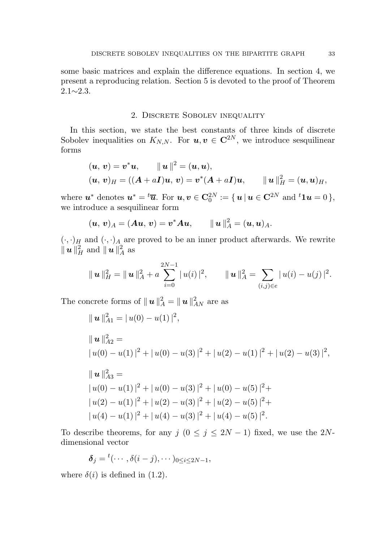some basic matrices and explain the difference equations. In section 4, we present a reproducing relation. Section 5 is devoted to the proof of Theorem  $2.1 \sim 2.3$ .

## 2. Discrete Sobolev inequality

In this section, we state the best constants of three kinds of discrete Sobolev inequalities on  $K_{N,N}$ . For  $u, v \in \mathbb{C}^{2N}$ , we introduce sesquilinear forms

$$
(u, v) = v^*u
$$
,  $||u||^2 = (u, u)$ ,  
\n $(u, v)_H = ((A + aI)u, v) = v^*(A + aI)u$ ,  $||u||_H^2 = (u, u)_H$ ,

where  $\boldsymbol{u}^*$  denotes  $\boldsymbol{u}^* = {}^t \overline{\boldsymbol{u}}$ . For  $\boldsymbol{u}, \boldsymbol{v} \in \mathbf{C}_0^{2N} := \{\, \boldsymbol{u} \, | \, \boldsymbol{u} \in \mathbf{C}^{2N} \text{ and } {}^t \boldsymbol{1} \boldsymbol{u} = 0 \,\},$ we introduce a sesquilinear form

$$
(u, v)A = (Au, v) = v^*Au
$$
,  $||u||_A^2 = (u, u)A$ .

 $(\cdot, \cdot)_H$  and  $(\cdot, \cdot)_A$  are proved to be an inner product afterwards. We rewrite  $\|\textit{\textbf{u}}\|_H^2 \text{ and } \|\textit{\textbf{u}}\|_A^2$  $_A^2$  as

$$
\|\mathbf{u}\|_{H}^{2}=\|\mathbf{u}\|_{A}^{2}+a\sum_{i=0}^{2N-1}|u(i)|^{2}, \qquad \|\mathbf{u}\|_{A}^{2}=\sum_{(i,j)\in e}|u(i)-u(j)|^{2}.
$$

The concrete forms of  $\| \boldsymbol{u} \|^2_A = \| \boldsymbol{u} \|^2_{AN}$  are as

$$
\|u\|_{A1}^{2} = |u(0) - u(1)|^{2},
$$
  
\n
$$
\|u\|_{A2}^{2} =
$$
  
\n
$$
|u(0) - u(1)|^{2} + |u(0) - u(3)|^{2} + |u(2) - u(1)|^{2} + |u(2) - u(3)|^{2},
$$
  
\n
$$
\|u\|_{A3}^{2} =
$$
  
\n
$$
|u(0) - u(1)|^{2} + |u(0) - u(3)|^{2} + |u(0) - u(5)|^{2} +
$$
  
\n
$$
|u(2) - u(1)|^{2} + |u(2) - u(3)|^{2} + |u(2) - u(5)|^{2} +
$$
  
\n
$$
|u(4) - u(1)|^{2} + |u(4) - u(3)|^{2} + |u(4) - u(5)|^{2}.
$$

To describe theorems, for any  $j$   $(0 \le j \le 2N-1)$  fixed, we use the 2Ndimensional vector

$$
\boldsymbol{\delta}_j = {}^t(\cdots,\delta(i-j),\cdots)_{0\leq i\leq 2N-1},
$$

where  $\delta(i)$  is defined in (1.2).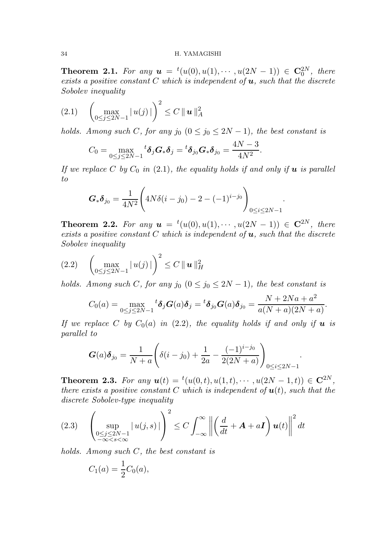#### 34 H. YAMAGISHI

**Theorem 2.1.** For any  $u = {}^{t}(u(0), u(1), \cdots, u(2N-1)) \in \mathbb{C}_{0}^{2N}$ , there exists a positive constant C which is independent of  $u$ , such that the discrete Sobolev inequality

$$
(2.1) \quad \left(\max_{0 \le j \le 2N-1} |u(j)|\right)^2 \le C \|u\|_A^2
$$

holds. Among such C, for any j<sub>0</sub>  $(0 \le j_0 \le 2N-1)$ , the best constant is

$$
C_0 = \max_{0 \le j \le 2N-1} {}^t \delta_j G_* \delta_j = {}^t \delta_{j_0} G_* \delta_{j_0} = \frac{4N-3}{4N^2}.
$$

If we replace C by  $C_0$  in (2.1), the equality holds if and only if **u** is parallel to

$$
\boldsymbol{G}_{*}\boldsymbol{\delta}_{j_{0}} = \frac{1}{4N^{2}} \Bigg( 4N\delta(i - j_{0}) - 2 - (-1)^{i - j_{0}} \Bigg)_{0 \leq i \leq 2N - 1}.
$$

**Theorem 2.2.** For any  $u = {}^{t}(u(0), u(1), \cdots, u(2N-1)) \in \mathbb{C}^{2N}$ , there exists a positive constant C which is independent of  $u$ , such that the discrete Sobolev inequality

$$
(2.2) \quad \left(\max_{0\leq j\leq 2N-1} |u(j)|\right)^2 \leq C \|u\|_H^2
$$

holds. Among such C, for any j<sub>0</sub>  $(0 \le j_0 \le 2N-1)$ , the best constant is

$$
C_0(a) = \max_{0 \le j \le 2N-1} {}^t \delta_j G(a) \delta_j = {}^t \delta_{j_0} G(a) \delta_{j_0} = \frac{N + 2Na + a^2}{a(N+a)(2N+a)}.
$$

If we replace C by  $C_0(a)$  in (2.2), the equality holds if and only if **u** is parallel to

$$
G(a)\delta_{j_0} = \frac{1}{N+a} \left( \delta(i-j_0) + \frac{1}{2a} - \frac{(-1)^{i-j_0}}{2(2N+a)} \right)_{0 \le i \le 2N-1}.
$$

**Theorem 2.3.** For any  $u(t) = {}^t(u(0,t), u(1,t), \cdots, u(2N-1,t)) \in \mathbb{C}^{2N}$ , there exists a positive constant C which is independent of  $u(t)$ , such that the discrete Sobolev-type inequality

$$
(2.3) \quad \left(\sup_{\substack{0 \le j \le 2N-1 \\ -\infty < s < \infty}} |u(j,s)|\right)^2 \le C \int_{-\infty}^{\infty} \left\| \left(\frac{d}{dt} + \mathbf{A} + a\mathbf{I}\right) \mathbf{u}(t) \right\|^2 dt
$$

holds. Among such C, the best constant is

$$
C_1(a) = \frac{1}{2}C_0(a),
$$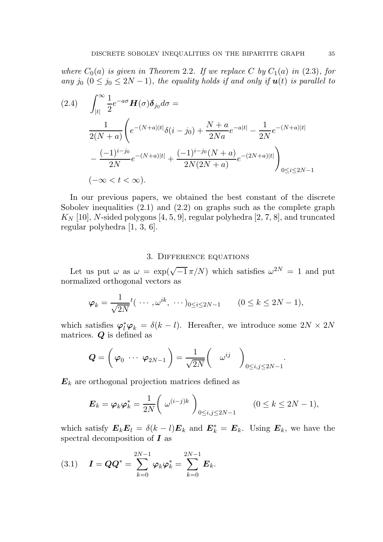where  $C_0(a)$  is given in Theorem 2.2. If we replace C by  $C_1(a)$  in (2.3), for any j<sub>0</sub>  $(0 \le j_0 \le 2N-1)$ , the equality holds if and only if  $u(t)$  is parallel to

$$
(2.4) \qquad \int_{|t|}^{\infty} \frac{1}{2} e^{-a\sigma} \mathbf{H}(\sigma) \delta_{j_0} d\sigma =
$$
\n
$$
\frac{1}{2(N+a)} \left( e^{-(N+a)|t|} \delta(i-j_0) + \frac{N+a}{2Na} e^{-a|t|} - \frac{1}{2N} e^{-(N+a)|t|} - \frac{(-1)^{i-j_0}}{2N} e^{-(N+a)|t|} + \frac{(-1)^{i-j_0} (N+a)}{2N(2N+a)} e^{-(2N+a)|t|} \right)_{0 \le i \le 2N-1}
$$
\n
$$
(-\infty < t < \infty).
$$

In our previous papers, we obtained the best constant of the discrete Sobolev inequalities  $(2.1)$  and  $(2.2)$  on graphs such as the complete graph  $K_N$  [10], N-sided polygons [4, 5, 9], regular polyhedra [2, 7, 8], and truncated regular polyhedra [1, 3, 6].

## 3. Difference equations

Let us put  $\omega$  as  $\omega = \exp(\sqrt{-1} \pi/N)$  which satisfies  $\omega^{2N} = 1$  and put normalized orthogonal vectors as

$$
\varphi_k = \frac{1}{\sqrt{2N}} t(\cdots, \omega^{ik}, \cdots)_{0 \le i \le 2N-1} \qquad (0 \le k \le 2N-1),
$$

which satisfies  $\varphi_l^* \varphi_k = \delta(k-l)$ . Hereafter, we introduce some  $2N \times 2N$ matrices.  $Q$  is defined as

$$
\boldsymbol{Q} = \left(\ \varphi_0 \ \cdots \ \varphi_{2N-1} \ \right) = \frac{1}{\sqrt{2N}} \left( \quad \omega^{ij} \quad \right)_{0 \leq i,j \leq 2N-1}.
$$

 $E_k$  are orthogonal projection matrices defined as

$$
\boldsymbol{E}_k = \boldsymbol{\varphi}_k \boldsymbol{\varphi}_k^* = \frac{1}{2N} \bigg( \omega^{(i-j)k} \bigg)_{0 \le i, j \le 2N-1} \qquad (0 \le k \le 2N-1),
$$

which satisfy  $E_k E_l = \delta(k-l) E_k$  and  $E_k^* = E_k$ . Using  $E_k$ , we have the spectral decomposition of  $\boldsymbol{I}$  as

(3.1) 
$$
I = QQ^* = \sum_{k=0}^{2N-1} \varphi_k \varphi_k^* = \sum_{k=0}^{2N-1} E_k.
$$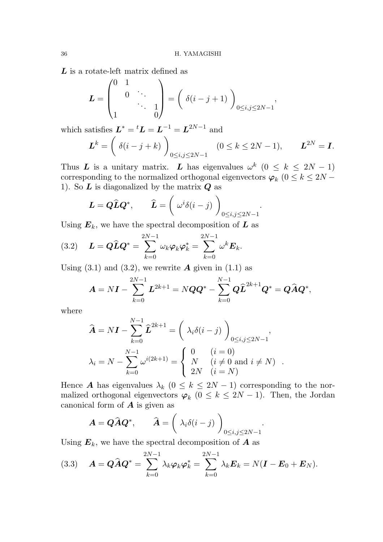$L$  is a rotate-left matrix defined as

$$
L = \begin{pmatrix} 0 & 1 & & \\ & 0 & \ddots & \\ & & \ddots & 1 \\ 1 & & & 0 \end{pmatrix} = \left( \begin{array}{c} \delta(i-j+1) \end{array} \right)_{0 \le i,j \le 2N-1},
$$

which satisfies  $\boldsymbol{L}^* = {}^t \boldsymbol{L} = \boldsymbol{L}^{-1} = \boldsymbol{L}^{2N-1}$  and

$$
\boldsymbol{L}^k = \left(\begin{array}{c} \delta(i-j+k) \end{array}\right)_{0 \le i,j \le 2N-1} \quad (0 \le k \le 2N-1), \qquad \boldsymbol{L}^{2N} = \boldsymbol{I}.
$$

Thus L is a unitary matrix. L has eigenvalues  $\omega^k$   $(0 \leq k \leq 2N-1)$ corresponding to the normalized orthogonal eigenvectors  $\varphi_k$  ( $0 \le k \le 2N -$ 1). So  $\boldsymbol{L}$  is diagonalized by the matrix  $\boldsymbol{Q}$  as

$$
\boldsymbol{L} = \boldsymbol{Q}\widehat{\boldsymbol{L}}\boldsymbol{Q}^*, \qquad \widehat{\boldsymbol{L}} = \left(\begin{array}{c} \omega^i \delta(i-j) \end{array}\right)_{0 \leq i,j \leq 2N-1}.
$$

Using  $E_k$ , we have the spectral decomposition of  $L$  as

(3.2) 
$$
L = Q\widehat{L}Q^* = \sum_{k=0}^{2N-1} \omega_k \varphi_k \varphi_k^* = \sum_{k=0}^{2N-1} \omega^k E_k.
$$

Using  $(3.1)$  and  $(3.2)$ , we rewrite **A** given in  $(1.1)$  as

$$
\bm A = N \bm I - \sum_{k=0}^{2N-1} \bm L^{2k+1} = N \bm Q \bm Q^* - \sum_{k=0}^{N-1} \bm Q \widehat{\bm L}^{2k+1} \bm Q^* = \bm Q \widehat{\bm A} \bm Q^*,
$$

where

$$
\widehat{\mathbf{A}} = N\mathbf{I} - \sum_{k=0}^{N-1} \widehat{\mathbf{L}}^{2k+1} = \left(\lambda_i \delta(i-j)\right)_{0 \le i,j \le 2N-1},
$$
  

$$
\lambda_i = N - \sum_{k=0}^{N-1} \omega^{i(2k+1)} = \begin{cases} 0 & (i = 0) \\ N & (i \neq 0 \text{ and } i \neq N) \\ 2N & (i = N) \end{cases}.
$$

Hence **A** has eigenvalues  $\lambda_k$  ( $0 \le k \le 2N-1$ ) corresponding to the normalized orthogonal eigenvectors  $\varphi_k$  ( $0 \leq k \leq 2N-1$ ). Then, the Jordan canonical form of  $\boldsymbol{A}$  is given as

$$
\boldsymbol{A} = \boldsymbol{Q}\widehat{\boldsymbol{A}}\boldsymbol{Q}^*, \qquad \widehat{\boldsymbol{A}} = \left(\begin{array}{c} \lambda_i\delta(i-j) \end{array}\right)_{0\leq i,j\leq 2N-1}.
$$

Using  $E_k$ , we have the spectral decomposition of  $A$  as

(3.3) 
$$
\mathbf{A} = \mathbf{Q}\widehat{\mathbf{A}}\mathbf{Q}^* = \sum_{k=0}^{2N-1} \lambda_k \boldsymbol{\varphi}_k \boldsymbol{\varphi}_k^* = \sum_{k=0}^{2N-1} \lambda_k \mathbf{E}_k = N(\mathbf{I} - \mathbf{E}_0 + \mathbf{E}_N).
$$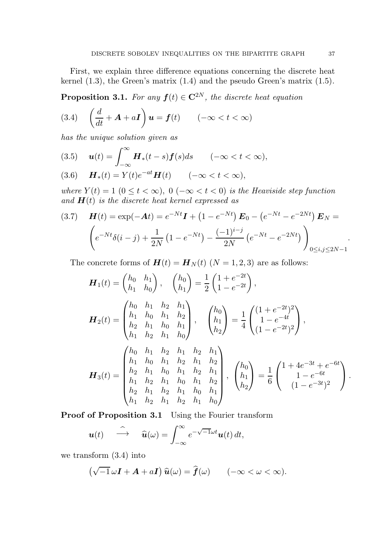First, we explain three difference equations concerning the discrete heat kernel (1.3), the Green's matrix (1.4) and the pseudo Green's matrix (1.5).

**Proposition 3.1.** For any  $f(t) \in \mathbb{C}^{2N}$ , the discrete heat equation

(3.4) 
$$
\left(\frac{d}{dt} + \mathbf{A} + a\mathbf{I}\right)\mathbf{u} = \mathbf{f}(t) \qquad (-\infty < t < \infty)
$$

has the unique solution given as

(3.5) 
$$
\boldsymbol{u}(t) = \int_{-\infty}^{\infty} \boldsymbol{H}_*(t-s) \boldsymbol{f}(s) ds \qquad (-\infty < t < \infty),
$$

$$
(3.6) \qquad \boldsymbol{H}_*(t) = Y(t)e^{-at}\boldsymbol{H}(t) \qquad (-\infty < t < \infty),
$$

where  $Y(t) = 1$   $(0 \le t < \infty)$ ,  $0 (-\infty < t < 0)$  is the Heaviside step function and  $H(t)$  is the discrete heat kernel expressed as

$$
(3.7) \quad \mathbf{H}(t) = \exp(-\mathbf{A}t) = e^{-Nt}\mathbf{I} + (1 - e^{-Nt})\mathbf{E}_0 - (e^{-Nt} - e^{-2Nt})\mathbf{E}_N =
$$
\n
$$
\left(e^{-Nt}\delta(i-j) + \frac{1}{2N}(1 - e^{-Nt}) - \frac{(-1)^{i-j}}{2N}(e^{-Nt} - e^{-2Nt})\right)_{0 \le i,j \le 2N-1}.
$$

The concrete forms of  $H(t) = H_N(t)$   $(N = 1, 2, 3)$  are as follows:

$$
\mathbf{H}_{1}(t) = \begin{pmatrix} h_{0} & h_{1} \\ h_{1} & h_{0} \end{pmatrix}, \quad \begin{pmatrix} h_{0} \\ h_{1} \end{pmatrix} = \frac{1}{2} \begin{pmatrix} 1 + e^{-2t} \\ 1 - e^{-2t} \end{pmatrix},
$$
\n
$$
\mathbf{H}_{2}(t) = \begin{pmatrix} h_{0} & h_{1} & h_{2} & h_{1} \\ h_{1} & h_{0} & h_{1} & h_{2} \\ h_{2} & h_{1} & h_{0} & h_{1} \\ h_{1} & h_{2} & h_{1} & h_{0} \end{pmatrix}, \quad \begin{pmatrix} h_{0} \\ h_{1} \\ h_{2} \end{pmatrix} = \frac{1}{4} \begin{pmatrix} (1 + e^{-2t})^{2} \\ 1 - e^{-4t} \\ (1 - e^{-2t})^{2} \end{pmatrix},
$$
\n
$$
\mathbf{H}_{3}(t) = \begin{pmatrix} h_{0} & h_{1} & h_{2} & h_{1} & h_{2} \\ h_{1} & h_{0} & h_{1} & h_{2} & h_{1} \\ h_{2} & h_{1} & h_{0} & h_{1} & h_{2} \\ h_{1} & h_{2} & h_{1} & h_{0} & h_{1} \\ h_{2} & h_{1} & h_{2} & h_{1} & h_{0} \end{pmatrix}, \quad \begin{pmatrix} h_{0} \\ h_{1} \\ h_{2} \end{pmatrix} = \frac{1}{6} \begin{pmatrix} 1 + 4e^{-3t} + e^{-6t} \\ 1 - e^{-6t} \\ (1 - e^{-3t})^{2} \end{pmatrix}.
$$

Proof of Proposition 3.1 Using the Fourier transform

$$
\boldsymbol{u}(t) \quad \stackrel{\widehat{\! \! \sim}}{\longrightarrow} \quad \widehat{\boldsymbol{u}}(\omega) = \int_{-\infty}^{\infty} e^{-\sqrt{-1}\omega t} \boldsymbol{u}(t) \, dt,
$$

we transform (3.4) into

$$
(\sqrt{-1}\,\omega\mathbf{I} + \mathbf{A} + a\mathbf{I})\,\widehat{\mathbf{u}}(\omega) = \widehat{\mathbf{f}}(\omega) \qquad (-\infty < \omega < \infty).
$$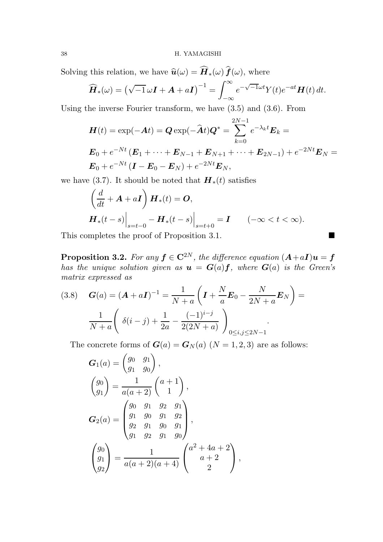Solving this relation, we have  $\widehat{\mathbf{u}}(\omega) = \widehat{\boldsymbol{H}}_*(\omega) \widehat{\boldsymbol{f}}(\omega)$ , where

$$
\widehat{\boldsymbol{H}}_{*}(\omega) = \left(\sqrt{-1}\,\omega\boldsymbol{I} + \boldsymbol{A} + a\boldsymbol{I}\right)^{-1} = \int_{-\infty}^{\infty} e^{-\sqrt{-1}\omega t} Y(t) e^{-at} \boldsymbol{H}(t) dt.
$$

Using the inverse Fourier transform, we have (3.5) and (3.6). From

$$
\mathbf{H}(t) = \exp(-\mathbf{A}t) = \mathbf{Q} \exp(-\hat{\mathbf{A}}t) \mathbf{Q}^* = \sum_{k=0}^{2N-1} e^{-\lambda_k t} \mathbf{E}_k =
$$
\n
$$
\mathbf{E}_0 + e^{-Nt} (\mathbf{E}_1 + \dots + \mathbf{E}_{N-1} + \mathbf{E}_{N+1} + \dots + \mathbf{E}_{2N-1}) + e^{-2Nt} \mathbf{E}_N =
$$
\n
$$
\mathbf{E}_0 + e^{-Nt} (\mathbf{I} - \mathbf{E}_0 - \mathbf{E}_N) + e^{-2Nt} \mathbf{E}_N,
$$

we have (3.7). It should be noted that  $\boldsymbol{H}_*(t)$  satisfies

$$
\left(\frac{d}{dt} + \mathbf{A} + a\mathbf{I}\right) \mathbf{H}_*(t) = \mathbf{O},
$$
\n
$$
\left. \mathbf{H}_*(t - s) \right|_{s = t - 0} - \mathbf{H}_*(t - s) \Big|_{s = t + 0} = \mathbf{I} \qquad (-\infty < t < \infty).
$$

This completes the proof of Proposition 3.1.

**Proposition 3.2.** For any  $f \in \mathbb{C}^{2N}$ , the difference equation  $(A+aI)u = f$ has the unique solution given as  $u = G(a)f$ , where  $G(a)$  is the Green's matrix expressed as

(3.8) 
$$
G(a) = (A + aI)^{-1} = \frac{1}{N+a} \left( I + \frac{N}{a} E_0 - \frac{N}{2N+a} E_N \right) = \frac{1}{N+a} \left( \delta(i-j) + \frac{1}{2a} - \frac{(-1)^{i-j}}{2(2N+a)} \right)_{0 \le i,j \le 2N-1}.
$$

The concrete forms of  $G(a) = G_N(a)$   $(N = 1, 2, 3)$  are as follows:

$$
G_1(a) = \begin{pmatrix} g_0 & g_1 \\ g_1 & g_0 \end{pmatrix},
$$
  
\n
$$
\begin{pmatrix} g_0 \\ g_1 \end{pmatrix} = \frac{1}{a(a+2)} \begin{pmatrix} a+1 \\ 1 \end{pmatrix},
$$
  
\n
$$
G_2(a) = \begin{pmatrix} g_0 & g_1 & g_2 & g_1 \\ g_1 & g_0 & g_1 & g_2 \\ g_2 & g_1 & g_0 & g_1 \\ g_1 & g_2 & g_1 & g_0 \end{pmatrix},
$$
  
\n
$$
\begin{pmatrix} g_0 \\ g_1 \\ g_2 \end{pmatrix} = \frac{1}{a(a+2)(a+4)} \begin{pmatrix} a^2 + 4a + 2 \\ a + 2 \\ 2 \end{pmatrix},
$$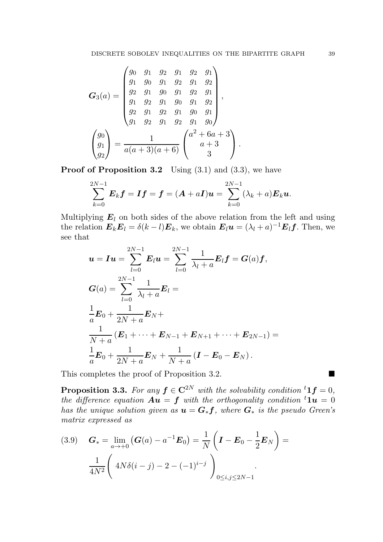$$
G_3(a) = \begin{pmatrix} g_0 & g_1 & g_2 & g_1 & g_2 & g_1 \\ g_1 & g_0 & g_1 & g_2 & g_1 & g_2 \\ g_2 & g_1 & g_0 & g_1 & g_2 & g_1 \\ g_2 & g_1 & g_2 & g_1 & g_0 & g_1 \\ g_1 & g_2 & g_1 & g_2 & g_1 & g_0 \end{pmatrix},
$$

$$
\begin{pmatrix} g_0 \\ g_1 \\ g_2 \end{pmatrix} = \frac{1}{a(a+3)(a+6)} \begin{pmatrix} a^2 + 6a + 3 \\ a + 3 \\ 3 \end{pmatrix}.
$$

**Proof of Proposition 3.2** Using  $(3.1)$  and  $(3.3)$ , we have

$$
\sum_{k=0}^{2N-1} E_k f = If = (A + aI)u = \sum_{k=0}^{2N-1} (\lambda_k + a) E_k u.
$$

Multiplying  $E_l$  on both sides of the above relation from the left and using the relation  $E_k E_l = \delta(k-l) E_k$ , we obtain  $E_l \mathbf{u} = (\lambda_l + a)^{-1} E_l \mathbf{f}$ . Then, we see that

$$
\mathbf{u} = I\mathbf{u} = \sum_{l=0}^{2N-1} \mathbf{E}_l \mathbf{u} = \sum_{l=0}^{2N-1} \frac{1}{\lambda_l + a} \mathbf{E}_l \mathbf{f} = G(a) \mathbf{f},
$$
  
\n
$$
G(a) = \sum_{l=0}^{2N-1} \frac{1}{\lambda_l + a} \mathbf{E}_l =
$$
  
\n
$$
\frac{1}{a} \mathbf{E}_0 + \frac{1}{2N + a} \mathbf{E}_N +
$$
  
\n
$$
\frac{1}{N+a} (\mathbf{E}_1 + \dots + \mathbf{E}_{N-1} + \mathbf{E}_{N+1} + \dots + \mathbf{E}_{2N-1}) =
$$
  
\n
$$
\frac{1}{a} \mathbf{E}_0 + \frac{1}{2N + a} \mathbf{E}_N + \frac{1}{N+a} (\mathbf{I} - \mathbf{E}_0 - \mathbf{E}_N).
$$

This completes the proof of Proposition 3.2.

**Proposition 3.3.** For any  $f \in \mathbb{C}^{2N}$  with the solvability condition  ${}^t1f = 0$ , the difference equation  $\mathbf{A}\mathbf{u} = \mathbf{f}$  with the orthogonality condition  ${}^t\mathbf{1}\mathbf{u} = 0$ has the unique solution given as  $u = G_*f$ , where  $G_*$  is the pseudo Green's matrix expressed as

$$
(3.9) \quad \boldsymbol{G}_{*} = \lim_{a \to +0} (\boldsymbol{G}(a) - a^{-1}\boldsymbol{E}_{0}) = \frac{1}{N} \left( \boldsymbol{I} - \boldsymbol{E}_{0} - \frac{1}{2} \boldsymbol{E}_{N} \right) = \frac{1}{4N^{2}} \left( 4N \delta(i - j) - 2 - (-1)^{i - j} \right)_{0 \le i, j \le 2N - 1}.
$$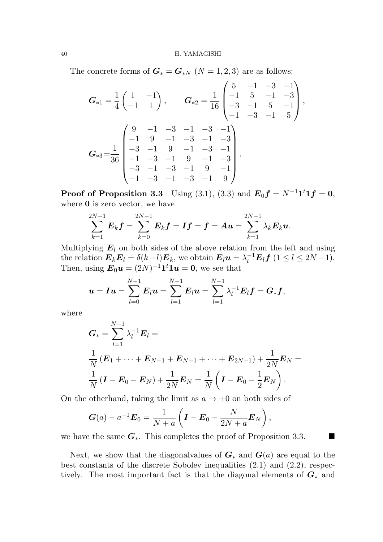The concrete forms of  $G_* = G_{*N}$   $(N = 1, 2, 3)$  are as follows:

$$
G_{*1} = \frac{1}{4} \begin{pmatrix} 1 & -1 \\ -1 & 1 \end{pmatrix}, \qquad G_{*2} = \frac{1}{16} \begin{pmatrix} 5 & -1 & -3 & -1 \\ -1 & 5 & -1 & -3 \\ -3 & -1 & 5 & -1 \\ -1 & -3 & -1 & 5 \end{pmatrix},
$$

$$
G_{*3} = \frac{1}{36} \begin{pmatrix} 9 & -1 & -3 & -1 & -3 & -1 \\ -1 & 9 & -1 & -3 & -1 & -3 \\ -3 & -1 & 9 & -1 & -3 & -1 \\ -1 & -3 & -1 & 9 & -1 & -3 \\ -1 & -3 & -1 & -3 & -1 & 9 \end{pmatrix}.
$$

**Proof of Proposition 3.3** Using (3.1), (3.3) and  $E_0 f = N^{-1} \mathbf{1}^t \mathbf{1} f = 0$ , where **0** is zero vector, we have

$$
\sum_{k=1}^{2N-1} E_k f = \sum_{k=0}^{2N-1} E_k f = If = f = A u = \sum_{k=1}^{2N-1} \lambda_k E_k u.
$$

Multiplying  $E_l$  on both sides of the above relation from the left and using the relation  $\mathbf{E}_k \mathbf{E}_l = \delta(k-l) \mathbf{E}_k$ , we obtain  $\mathbf{E}_l \mathbf{u} = \lambda_l^{-1} \mathbf{E}_l \mathbf{f}$   $(1 \leq l \leq 2N-1)$ . Then, using  $\mathbf{E}_0 \mathbf{u} = (2N)^{-1} \mathbf{1}^t \mathbf{1} \mathbf{u} = \mathbf{0}$ , we see that

$$
\boldsymbol{u}=\boldsymbol{I}\boldsymbol{u}=\sum_{l=0}^{N-1}\boldsymbol{E}_l\boldsymbol{u}=\sum_{l=1}^{N-1}\boldsymbol{E}_l\boldsymbol{u}=\sum_{l=1}^{N-1}\lambda_l^{-1}\boldsymbol{E}_l\boldsymbol{f}=\boldsymbol{G}_*\boldsymbol{f},
$$

where

$$
G_{*} = \sum_{l=1}^{N-1} \lambda_{l}^{-1} E_{l} =
$$
  

$$
\frac{1}{N} (E_{1} + \dots + E_{N-1} + E_{N+1} + \dots + E_{2N-1}) + \frac{1}{2N} E_{N} =
$$
  

$$
\frac{1}{N} (I - E_{0} - E_{N}) + \frac{1}{2N} E_{N} = \frac{1}{N} (I - E_{0} - \frac{1}{2} E_{N}).
$$

On the otherhand, taking the limit as  $a \rightarrow +0$  on both sides of

$$
G(a) - a^{-1} E_0 = \frac{1}{N+a} \left( I - E_0 - \frac{N}{2N+a} E_N \right),
$$

we have the same  $G_*$ . This completes the proof of Proposition 3.3.

Next, we show that the diagonalvalues of  $G_*$  and  $G(a)$  are equal to the best constants of the discrete Sobolev inequalities (2.1) and (2.2), respectively. The most important fact is that the diagonal elements of  $G_*$  and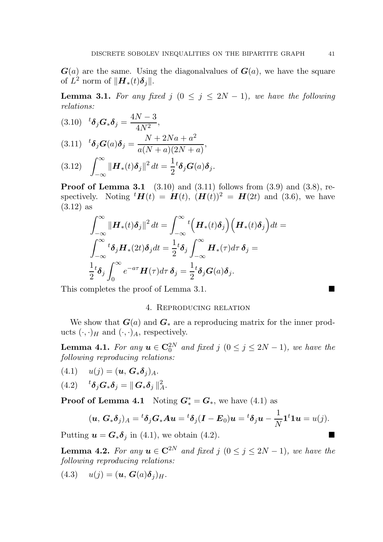$G(a)$  are the same. Using the diagonal values of  $G(a)$ , we have the square of  $L^2$  norm of  $\|\boldsymbol{H}_*(t)\boldsymbol{\delta}_j\|.$ 

**Lemma 3.1.** For any fixed j  $(0 \le j \le 2N - 1)$ , we have the following relations:

(3.10) 
$$
{}^{t}\delta_{j}G_{*}\delta_{j} = \frac{4N-3}{4N^{2}},
$$

$$
(3.11) \quad {}^{t}\delta_{j}G(a)\delta_{j} = \frac{N+2Na+a^{2}}{a(N+a)(2N+a)},
$$

(3.12) 
$$
\int_{-\infty}^{\infty} \|\boldsymbol{H}_*(t)\boldsymbol{\delta}_j\|^2 dt = \frac{1}{2}^t \boldsymbol{\delta}_j \boldsymbol{G}(a) \boldsymbol{\delta}_j.
$$

**Proof of Lemma 3.1** (3.10) and (3.11) follows from  $(3.9)$  and  $(3.8)$ , respectively. Noting  ${}^t H(t) = H(t), (H(t))^2 = H(2t)$  and (3.6), we have (3.12) as

$$
\int_{-\infty}^{\infty} \|\boldsymbol{H}_*(t)\boldsymbol{\delta}_j\|^2 dt = \int_{-\infty}^{\infty} {}^t (\boldsymbol{H}_*(t)\boldsymbol{\delta}_j) (\boldsymbol{H}_*(t)\boldsymbol{\delta}_j) dt =
$$
  

$$
\int_{-\infty}^{\infty} {}^t \boldsymbol{\delta}_j \boldsymbol{H}_*(2t) \boldsymbol{\delta}_j dt = \frac{1}{2} {}^t \boldsymbol{\delta}_j \int_{-\infty}^{\infty} \boldsymbol{H}_*(\tau) d\tau \boldsymbol{\delta}_j =
$$
  

$$
\frac{1}{2} {}^t \boldsymbol{\delta}_j \int_{0}^{\infty} e^{-a\tau} \boldsymbol{H}(\tau) d\tau \boldsymbol{\delta}_j = \frac{1}{2} {}^t \boldsymbol{\delta}_j \boldsymbol{G}(a) \boldsymbol{\delta}_j.
$$

This completes the proof of Lemma 3.1.

# 4. Reproducing relation

We show that  $G(a)$  and  $G_*$  are a reproducing matrix for the inner products  $(\cdot, \cdot)_H$  and  $(\cdot, \cdot)_A$ , respectively.

**Lemma 4.1.** For any  $u \in \mathbb{C}_0^{2N}$  and fixed j  $(0 \le j \le 2N-1)$ , we have the following reproducing relations:

$$
(4.1) \t u(j) = (\boldsymbol{u}, \boldsymbol{G}_* \boldsymbol{\delta}_j)_A.
$$

$$
(4.2) \qquad {}^{t}\boldsymbol{\delta}_j \mathbf{G}_* \boldsymbol{\delta}_j = || \mathbf{G}_* \boldsymbol{\delta}_j ||_A^2.
$$

**Proof of Lemma 4.1** Noting  $G_*^* = G_*$ , we have (4.1) as

$$
(\boldsymbol{u},\,\boldsymbol{G}_*\boldsymbol{\delta}_j)_A={}^t\boldsymbol{\delta}_j\boldsymbol{G}_*\boldsymbol{A}\boldsymbol{u}= {}^t\boldsymbol{\delta}_j(\boldsymbol{I}-\boldsymbol{E}_0)\boldsymbol{u}={}^t\boldsymbol{\delta}_j\boldsymbol{u}-\frac{1}{N}\boldsymbol{1}^t\boldsymbol{1}\boldsymbol{u}=u(j).
$$

Putting  $u = G_* \delta_j$  in (4.1), we obtain (4.2).

**Lemma 4.2.** For any  $u \in \mathbb{C}^{2N}$  and fixed j  $(0 \le j \le 2N-1)$ , we have the following reproducing relations:

$$
(4.3) \t u(j) = (\boldsymbol{u}, \boldsymbol{G}(a)\boldsymbol{\delta}_j)_H.
$$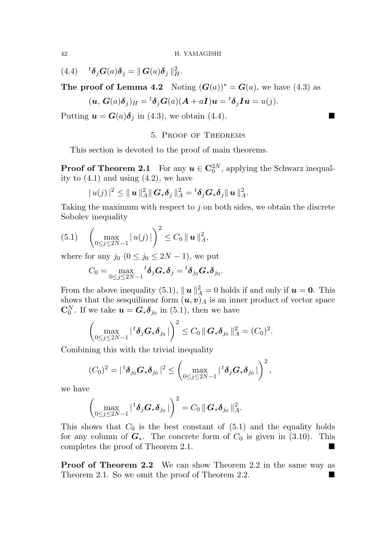(4.4)  ${}^{t} \delta_j G(a) \delta_j = || G(a) \delta_j ||_H^2$ .

The proof of Lemma 4.2 Noting  $(G(a))^* = G(a)$ , we have (4.3) as

$$
(\boldsymbol{u},\,\boldsymbol{G}(a)\boldsymbol{\delta}_j)_H={}^t\boldsymbol{\delta}_j\boldsymbol{G}(a)(\boldsymbol{A}+a\boldsymbol{I})\boldsymbol{u}={}^t\boldsymbol{\delta}_j\boldsymbol{I}\boldsymbol{u}=u(j).
$$

Putting  $u = G(a)\delta_j$  in (4.3), we obtain (4.4).

# 5. Proof of Theorems

This section is devoted to the proof of main theorems.

**Proof of Theorem 2.1** For any  $u \in \mathbb{C}_0^{2N}$ , applying the Schwarz inequality to  $(4.1)$  and using  $(4.2)$ , we have

$$
|u(j)|^2 \leq ||\boldsymbol{u}||_A^2 ||\boldsymbol{G}_*\boldsymbol{\delta}_j||_A^2 = {}^t \boldsymbol{\delta}_j \boldsymbol{G}_*\boldsymbol{\delta}_j ||\boldsymbol{u}||_A^2.
$$

Taking the maximum with respect to  $j$  on both sides, we obtain the discrete Sobolev inequality

$$
(5.1) \quad \left(\max_{0\leq j\leq 2N-1} |u(j)|\right)^2 \leq C_0 \|u\|_A^2,
$$

where for any  $j_0$   $(0 \le j_0 \le 2N-1)$ , we put

$$
C_0=\max_{0\leq j\leq 2N-1} {}^t \boldsymbol{\delta}_j {\boldsymbol G}_*{\boldsymbol \delta}_j={}^t {\boldsymbol \delta}_{j_0} {\boldsymbol G}_*{\boldsymbol \delta}_{j_0}.
$$

From the above inequality (5.1),  $||\boldsymbol{u}||_A^2 = 0$  holds if and only if  $\boldsymbol{u} = \boldsymbol{0}$ . This shows that the sesquilinear form  $(\boldsymbol{u}, \boldsymbol{v})_A$  is an inner product of vector space  $\mathbf{C}_0^N$ . If we take  $\mathbf{u} = \mathbf{G}_*\boldsymbol{\delta}_{j_0}$  in (5.1), then we have

$$
\left(\max_{0\leq j\leq 2N-1} |{}^t \delta_j \mathbf{G}_* \delta_{j_0}|\right)^2 \leq C_0 ||\mathbf{G}_* \delta_{j_0}||_A^2 = (C_0)^2.
$$

Combining this with the trivial inequality

$$
(C_0)^2=|\,{}^t\boldsymbol{\delta}_{j_0}\boldsymbol{G}_*\boldsymbol{\delta}_{j_0}\,|^2\leq \left(\max_{0\leq j\leq 2N-1}|\,{}^t\boldsymbol{\delta}_j\boldsymbol{G}_*\boldsymbol{\delta}_{j_0}\,|\right)^2,
$$

we have

$$
\left(\max_{0\leq j\leq 2N-1}|{}^{t}\boldsymbol{\delta}_{j}\boldsymbol{G}_{*}\boldsymbol{\delta}_{j_{0}}|\right)^{2}=C_{0}\|\boldsymbol{G}_{*}\boldsymbol{\delta}_{j_{0}}\|_{A}^{2}.
$$

This shows that  $C_0$  is the best constant of (5.1) and the equality holds for any column of  $G_*$ . The concrete form of  $C_0$  is given in (3.10). This completes the proof of Theorem 2.1. completes the proof of Theorem 2.1.

Proof of Theorem 2.2 We can show Theorem 2.2 in the same way as Theorem 2.1. So we omit the proof of Theorem 2.2.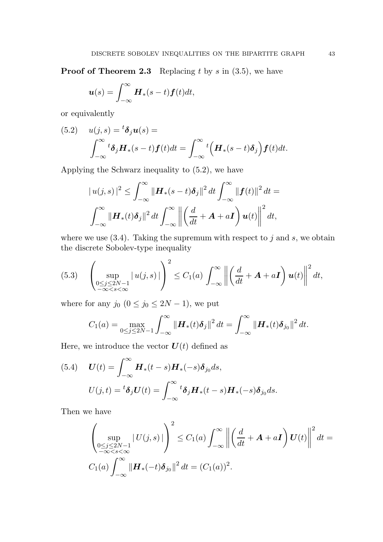**Proof of Theorem 2.3** Replacing t by s in  $(3.5)$ , we have

$$
\boldsymbol{u}(s) = \int_{-\infty}^{\infty} \boldsymbol{H}_*(s-t) \boldsymbol{f}(t) dt,
$$

or equivalently

(5.2) 
$$
u(j,s) = {}^{t}\delta_{j}u(s) = \int_{-\infty}^{\infty} {}^{t}\delta_{j}H_{*}(s-t)f(t)dt = \int_{-\infty}^{\infty} {}^{t}\left(H_{*}(s-t)\delta_{j}\right)f(t)dt.
$$

Applying the Schwarz inequality to (5.2), we have

$$
|u(j,s)|^2 \leq \int_{-\infty}^{\infty} \|\boldsymbol{H}_*(s-t)\boldsymbol{\delta}_j\|^2 dt \int_{-\infty}^{\infty} \|\boldsymbol{f}(t)\|^2 dt =
$$

$$
\int_{-\infty}^{\infty} \|\boldsymbol{H}_*(t)\boldsymbol{\delta}_j\|^2 dt \int_{-\infty}^{\infty} \left\|\left(\frac{d}{dt} + \boldsymbol{A} + a\boldsymbol{I}\right)\boldsymbol{u}(t)\right\|^2 dt,
$$

where we use  $(3.4)$ . Taking the supremum with respect to j and s, we obtain the discrete Sobolev-type inequality

$$
(5.3)\quad \left(\sup_{\substack{0\leq j\leq 2N-1\\-\infty
$$

where for any  $j_0$   $(0 \le j_0 \le 2N - 1)$ , we put

$$
C_1(a) = \max_{0 \le j \le 2N-1} \int_{-\infty}^{\infty} ||\boldsymbol{H}_*(t)\boldsymbol{\delta}_j||^2 dt = \int_{-\infty}^{\infty} ||\boldsymbol{H}_*(t)\boldsymbol{\delta}_{j_0}||^2 dt.
$$

Here, we introduce the vector  $U(t)$  defined as

(5.4) 
$$
\boldsymbol{U}(t) = \int_{-\infty}^{\infty} \boldsymbol{H}_*(t-s) \boldsymbol{H}_*(-s) \boldsymbol{\delta}_{j_0} ds,
$$

$$
U(j,t) = {}^t \boldsymbol{\delta}_j \boldsymbol{U}(t) = \int_{-\infty}^{\infty} {}^t \boldsymbol{\delta}_j \boldsymbol{H}_*(t-s) \boldsymbol{H}_*(-s) \boldsymbol{\delta}_{j_0} ds.
$$

Then we have

$$
\left(\sup_{\substack{0\leq j\leq 2N-1\\-\infty  

$$
C_1(a)\int_{-\infty}^{\infty}\|\mathbf{H}_*(-t)\delta_{j_0}\|^2dt = (C_1(a))^2.
$$
$$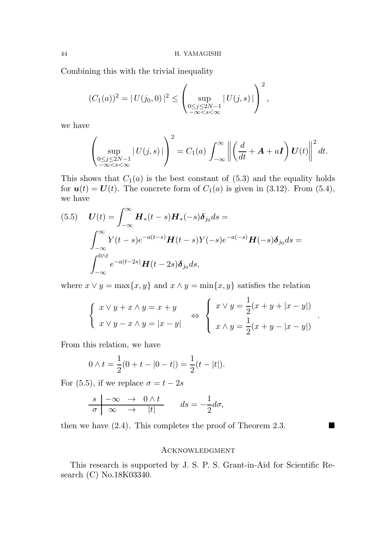Combining this with the trivial inequality

$$
(C_1(a))^2 = |U(j_0, 0)|^2 \le \left(\sup_{\substack{0 \le j \le 2N-1 \\ -\infty < s < \infty}} |U(j, s)|\right)^2,
$$

we have

$$
\left(\sup_{\substack{0\leq j\leq 2N-1\\-\infty
$$

This shows that  $C_1(a)$  is the best constant of  $(5.3)$  and the equality holds for  $u(t) = U(t)$ . The concrete form of  $C_1(a)$  is given in (3.12). From (5.4), we have

(5.5) 
$$
\boldsymbol{U}(t) = \int_{-\infty}^{\infty} \boldsymbol{H}_*(t-s) \boldsymbol{H}_*(-s) \delta_{j_0} ds =
$$

$$
\int_{-\infty}^{\infty} Y(t-s) e^{-a(t-s)} \boldsymbol{H}(t-s) Y(-s) e^{-a(-s)} \boldsymbol{H}(-s) \delta_{j_0} ds =
$$

$$
\int_{-\infty}^{0 \wedge t} e^{-a(t-2s)} \boldsymbol{H}(t-2s) \delta_{j_0} ds,
$$

where  $x \vee y = \max\{x, y\}$  and  $x \wedge y = \min\{x, y\}$  satisfies the relation

$$
\begin{cases}\nx \lor y + x \land y = x + y \\
x \lor y - x \land y = |x - y|\n\end{cases}\n\Leftrightarrow\n\begin{cases}\nx \lor y = \frac{1}{2}(x + y + |x - y|) \\
x \land y = \frac{1}{2}(x + y - |x - y|)\n\end{cases}
$$

.

From this relation, we have

$$
0 \wedge t = \frac{1}{2}(0 + t - |0 - t|) = \frac{1}{2}(t - |t|).
$$

For (5.5), if we replace  $\sigma = t - 2s$ 

$$
\frac{s|\ -\infty\ \to\ 0 \wedge t}{\sigma|\ \infty\ \to\ |t|} \qquad ds = -\frac{1}{2}d\sigma,
$$

then we have  $(2.4)$ . This completes the proof of Theorem 2.3.

## **ACKNOWLEDGMENT**

This research is supported by J. S. P. S. Grant-in-Aid for Scientific Research (C) No.18K03340.